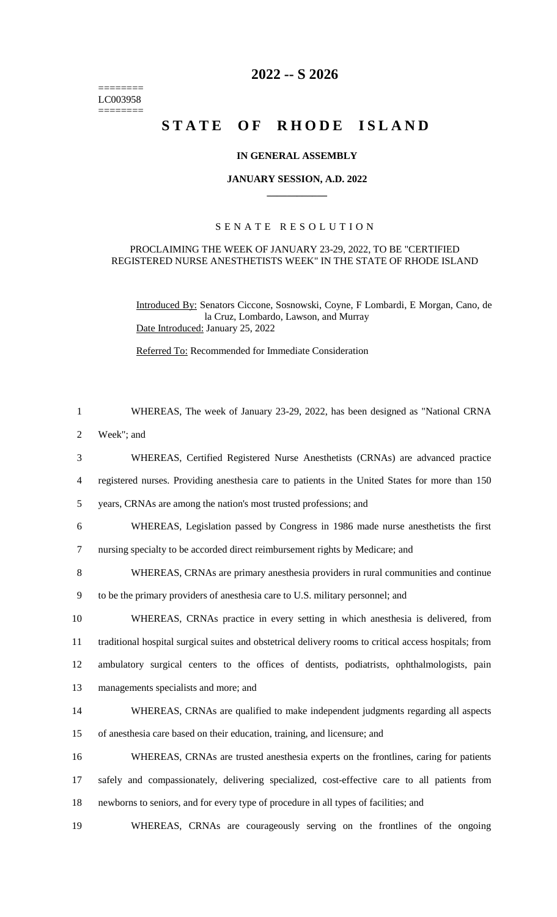======== LC003958  $=$ 

# **2022 -- S 2026**

# STATE OF RHODE ISLAND

#### **IN GENERAL ASSEMBLY**

### **JANUARY SESSION, A.D. 2022 \_\_\_\_\_\_\_\_\_\_\_\_**

## S E N A T E R E S O L U T I O N

#### PROCLAIMING THE WEEK OF JANUARY 23-29, 2022, TO BE "CERTIFIED REGISTERED NURSE ANESTHETISTS WEEK" IN THE STATE OF RHODE ISLAND

Introduced By: Senators Ciccone, Sosnowski, Coyne, F Lombardi, E Morgan, Cano, de la Cruz, Lombardo, Lawson, and Murray Date Introduced: January 25, 2022

Referred To: Recommended for Immediate Consideration

| $\mathbf{1}$   | WHEREAS, The week of January 23-29, 2022, has been designed as "National CRNA                          |
|----------------|--------------------------------------------------------------------------------------------------------|
| $\overline{2}$ | Week"; and                                                                                             |
| 3              | WHEREAS, Certified Registered Nurse Anesthetists (CRNAs) are advanced practice                         |
| $\overline{4}$ | registered nurses. Providing anesthesia care to patients in the United States for more than 150        |
| 5              | years, CRNAs are among the nation's most trusted professions; and                                      |
| 6              | WHEREAS, Legislation passed by Congress in 1986 made nurse anesthetists the first                      |
| $\tau$         | nursing specialty to be accorded direct reimbursement rights by Medicare; and                          |
| 8              | WHEREAS, CRNAs are primary anesthesia providers in rural communities and continue                      |
| 9              | to be the primary providers of anesthesia care to U.S. military personnel; and                         |
| 10             | WHEREAS, CRNAs practice in every setting in which anesthesia is delivered, from                        |
| 11             | traditional hospital surgical suites and obstetrical delivery rooms to critical access hospitals; from |
| 12             | ambulatory surgical centers to the offices of dentists, podiatrists, ophthalmologists, pain            |
| 13             | managements specialists and more; and                                                                  |
| 14             | WHEREAS, CRNAs are qualified to make independent judgments regarding all aspects                       |
| 15             | of anesthesia care based on their education, training, and licensure; and                              |
| 16             | WHEREAS, CRNAs are trusted anesthesia experts on the frontlines, caring for patients                   |
| 17             | safely and compassionately, delivering specialized, cost-effective care to all patients from           |
| 18             | newborns to seniors, and for every type of procedure in all types of facilities; and                   |
| 19             | WHEREAS, CRNAs are courageously serving on the frontlines of the ongoing                               |